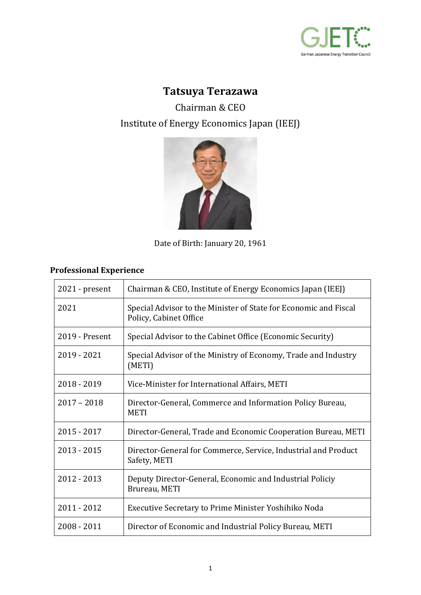

## **Tatsuya Terazawa**

Chairman & CEO Institute of Energy Economics Japan (IEEJ)



Date of Birth: January 20, 1961

## **Professional Experience**

| $2021$ - present | Chairman & CEO, Institute of Energy Economics Japan (IEEJ)                                 |
|------------------|--------------------------------------------------------------------------------------------|
| 2021             | Special Advisor to the Minister of State for Economic and Fiscal<br>Policy, Cabinet Office |
| 2019 - Present   | Special Advisor to the Cabinet Office (Economic Security)                                  |
| 2019 - 2021      | Special Advisor of the Ministry of Economy, Trade and Industry<br>(METI)                   |
| 2018 - 2019      | Vice-Minister for International Affairs, METI                                              |
| $2017 - 2018$    | Director-General, Commerce and Information Policy Bureau,<br><b>METI</b>                   |
| $2015 - 2017$    | Director-General, Trade and Economic Cooperation Bureau, METI                              |
| $2013 - 2015$    | Director-General for Commerce, Service, Industrial and Product<br>Safety, METI             |
| 2012 - 2013      | Deputy Director-General, Economic and Industrial Policiy<br>Brureau, METI                  |
| 2011 - 2012      | Executive Secretary to Prime Minister Yoshihiko Noda                                       |
| $2008 - 2011$    | Director of Economic and Industrial Policy Bureau, METI                                    |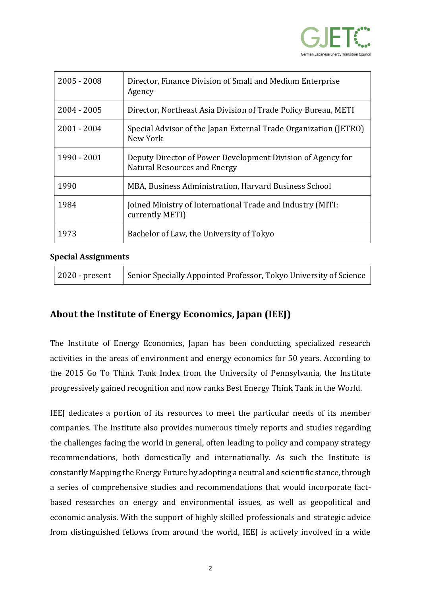

| $2005 - 2008$ | Director, Finance Division of Small and Medium Enterprise<br>Agency                                |
|---------------|----------------------------------------------------------------------------------------------------|
| $2004 - 2005$ | Director, Northeast Asia Division of Trade Policy Bureau, METI                                     |
| 2001 - 2004   | Special Advisor of the Japan External Trade Organization (JETRO)<br>New York                       |
| 1990 - 2001   | Deputy Director of Power Development Division of Agency for<br><b>Natural Resources and Energy</b> |
| 1990          | MBA, Business Administration, Harvard Business School                                              |
| 1984          | Joined Ministry of International Trade and Industry (MITI:<br>currently METI)                      |
| 1973          | Bachelor of Law, the University of Tokyo                                                           |

## **Special Assignments**

| 2020 - present | Senior Specially Appointed Professor, Tokyo University of Science |
|----------------|-------------------------------------------------------------------|
|                |                                                                   |

## **About the Institute of Energy Economics, Japan (IEEJ)**

The Institute of Energy Economics, Japan has been conducting specialized research activities in the areas of environment and energy economics for 50 years. According to the 2015 Go To Think Tank Index from the University of Pennsylvania, the Institute progressively gained recognition and now ranks Best Energy Think Tank in the World.

IEEJ dedicates a portion of its resources to meet the particular needs of its member companies. The Institute also provides numerous timely reports and studies regarding the challenges facing the world in general, often leading to policy and company strategy recommendations, both domestically and internationally. As such the Institute is constantly Mapping the Energy Future by adopting a neutral and scientific stance, through a series of comprehensive studies and recommendations that would incorporate factbased researches on energy and environmental issues, as well as geopolitical and economic analysis. With the support of highly skilled professionals and strategic advice from distinguished fellows from around the world, IEEJ is actively involved in a wide